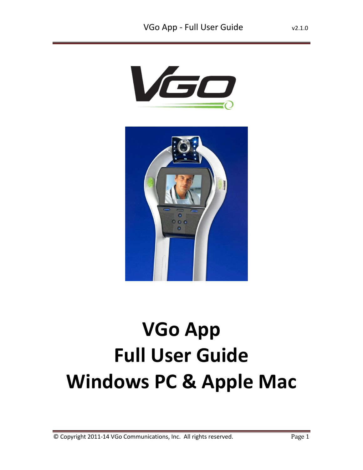



# **VGo App Full User Guide Windows PC & Apple Mac**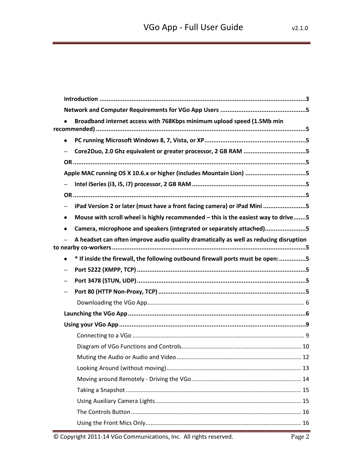|           | Broadband internet access with 768Kbps minimum upload speed (1.5Mb min                |
|-----------|---------------------------------------------------------------------------------------|
| $\bullet$ |                                                                                       |
|           | Core2Duo, 2.0 Ghz equivalent or greater processor, 2 GB RAM 5                         |
|           |                                                                                       |
|           | Apple MAC running OS X 10.6.x or higher (includes Mountain Lion) 5                    |
|           |                                                                                       |
|           |                                                                                       |
|           | iPad Version 2 or later (must have a front facing camera) or iPad Mini 5              |
| $\bullet$ | Mouse with scroll wheel is highly recommended - this is the easiest way to drive5     |
| $\bullet$ | Camera, microphone and speakers (integrated or separately attached)5                  |
|           | A headset can often improve audio quality dramatically as well as reducing disruption |
| $\bullet$ | * If inside the firewall, the following outbound firewall ports must be open: 5       |
|           |                                                                                       |
|           |                                                                                       |
|           |                                                                                       |
|           |                                                                                       |
|           |                                                                                       |
|           |                                                                                       |
|           |                                                                                       |
|           |                                                                                       |
|           |                                                                                       |
|           |                                                                                       |
|           |                                                                                       |
|           |                                                                                       |
|           |                                                                                       |
|           |                                                                                       |
|           |                                                                                       |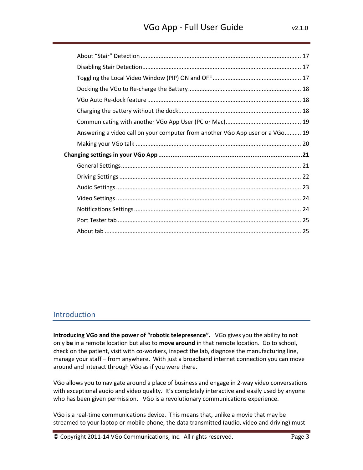| Answering a video call on your computer from another VGo App user or a VGo 19 |  |
|-------------------------------------------------------------------------------|--|
|                                                                               |  |
|                                                                               |  |
|                                                                               |  |
|                                                                               |  |
|                                                                               |  |
|                                                                               |  |
|                                                                               |  |
|                                                                               |  |
|                                                                               |  |

# <span id="page-2-0"></span>Introduction

**Introducing VGo and the power of "robotic telepresence".** VGo gives you the ability to not only **be** in a remote location but also to **move around** in that remote location. Go to school, check on the patient, visit with co-workers, inspect the lab, diagnose the manufacturing line, manage your staff – from anywhere. With just a broadband internet connection you can move around and interact through VGo as if you were there.

VGo allows you to navigate around a place of business and engage in 2-way video conversations with exceptional audio and video quality. It's completely interactive and easily used by anyone who has been given permission. VGo is a revolutionary communications experience.

VGo is a real-time communications device. This means that, unlike a movie that may be streamed to your laptop or mobile phone, the data transmitted (audio, video and driving) must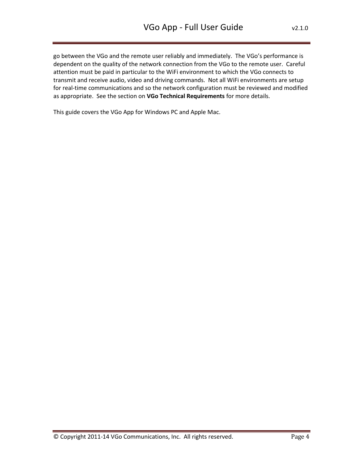go between the VGo and the remote user reliably and immediately. The VGo's performance is dependent on the quality of the network connection from the VGo to the remote user. Careful attention must be paid in particular to the WiFi environment to which the VGo connects to transmit and receive audio, video and driving commands. Not all WiFi environments are setup for real-time communications and so the network configuration must be reviewed and modified as appropriate. See the section on **VGo Technical Requirements** for more details.

This guide covers the VGo App for Windows PC and Apple Mac.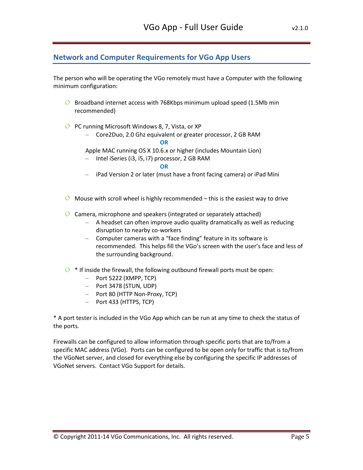# <span id="page-4-0"></span>**Network and Computer Requirements for VGo App Users**

The person who will be operating the VGo remotely must have a Computer with the following minimum configuration:

- <span id="page-4-1"></span>**Q** Broadband internet access with 768Kbps minimum upload speed (1.5Mb min recommended)
- <span id="page-4-5"></span><span id="page-4-3"></span><span id="page-4-2"></span>**PC running Microsoft Windows 8, 7, Vista, or XP** 
	- Core2Duo, 2.0 Ghz equivalent or greater processor, 2 GB RAM

<span id="page-4-4"></span>**OR**

- Apple MAC running OS X 10.6.x or higher (includes Mountain Lion)
- <span id="page-4-6"></span>– Intel iSeries (i3, i5, i7) processor, 2 GB RAM

<span id="page-4-7"></span> **OR**

- iPad Version 2 or later (must have a front facing camera) or iPad Mini
- <span id="page-4-9"></span><span id="page-4-8"></span> $\overline{Q}$  Mouse with scroll wheel is highly recommended – this is the easiest way to drive
- <span id="page-4-11"></span><span id="page-4-10"></span> $\overline{Q}$  Camera, microphone and speakers (integrated or separately attached)
	- A headset can often improve audio quality dramatically as well as reducing disruption to nearby co-workers
	- Computer cameras with a "face finding" feature in its software is recommended. This helps fill the VGo's screen with the user's face and less of the surrounding background.
- <span id="page-4-14"></span><span id="page-4-13"></span><span id="page-4-12"></span> $\overline{Q}$  \* If inside the firewall, the following outbound firewall ports must be open:
	- $-$  Port 5222 (XMPP, TCP)
	- Port 3478 (STUN, UDP)
	- Port 80 (HTTP Non-Proxy, TCP)
	- Port 433 (HTTPS, TCP)

<span id="page-4-15"></span>\* A port tester is included in the VGo App which can be run at any time to check the status of the ports.

Firewalls can be configured to allow information through specific ports that are to/from a specific MAC address (VGo). Ports can be configured to be open only for traffic that is to/from the VGoNet server, and closed for everything else by configuring the specific IP addresses of VGoNet servers. Contact VGo Support for details.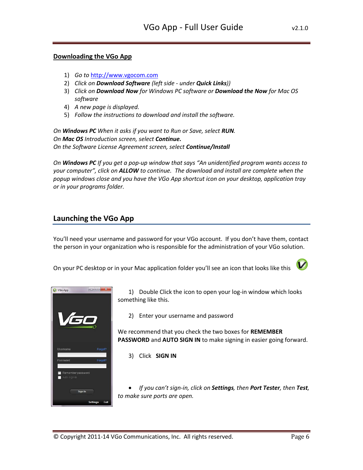#### <span id="page-5-0"></span>**Downloading the VGo App**

- 1) *Go to* [http://www.vgocom.com](http://www.vgocom.com/)
- 2) *Click on Download Software (left side under Quick Links))*
- 3) *Click on Download Now for Windows PC software or Download the Now for Mac OS software*
- 4) *A new page is displayed.*
- 5) *Follow the instructions to download and install the software.*

*On Windows PC When it asks if you want to Run or Save, select RUN. On Mac OS Introduction screen, select Continue. On the Software License Agreement screen, select Continue/Install* 

*On Windows PC If you get a pop-up window that says "An unidentified program wants access to your computer", click on ALLOW to continue. The download and install are complete when the popup windows close and you have the VGo App shortcut icon on your desktop, application tray or in your programs folder.*

# <span id="page-5-1"></span>**Launching the VGo App**

You'll need your username and password for your VGo account. If you don't have them, contact the person in your organization who is responsible for the administration of your VGo solution.

On your PC desktop or in your Mac application folder you'll see an icon that looks like this





1) Double Click the icon to open your log-in window which looks something like this.

2) Enter your username and password

We recommend that you check the two boxes for **REMEMBER PASSWORD** and **AUTO SIGN IN** to make signing in easier going forward.

3) Click **SIGN IN**

 *If you can't sign-in, click on Settings, then Port Tester, then Test, to make sure ports are open.*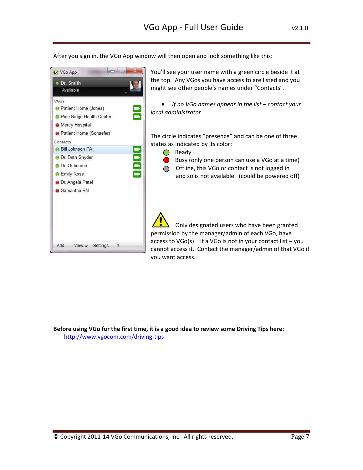After you sign in, the VGo App window will then open and look something like this:



**Before using VGo for the first time, it is a good idea to review some Driving Tips here:**  <http://www.vgocom.com/driving-tips>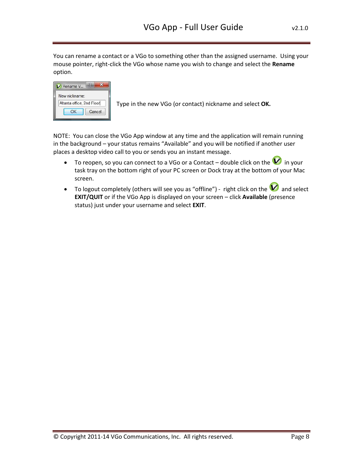You can rename a contact or a VGo to something other than the assigned username. Using your mouse pointer, right-click the VGo whose name you wish to change and select the **Rename** option.

| New nickname:             |        |
|---------------------------|--------|
| Altanta office, 2nd Floor |        |
|                           | Cancel |

Type in the new VGo (or contact) nickname and select **OK.**

NOTE: You can close the VGo App window at any time and the application will remain running in the background – your status remains "Available" and you will be notified if another user places a desktop video call to you or sends you an instant message.

- To reopen, so you can connect to a VGo or a Contact double click on the  $\blacktriangledown$  in your task tray on the bottom right of your PC screen or Dock tray at the bottom of your Mac screen.
- To logout completely (others will see you as "offline") right click on the  $\blacktriangledown$  and select **EXIT/QUIT** or if the VGo App is displayed on your screen – click **Available** (presence status) just under your username and select **EXIT**.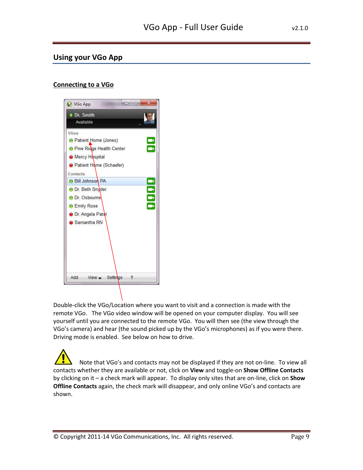# <span id="page-8-0"></span>**Using your VGo App**

# <span id="page-8-1"></span>**Connecting to a VGo**



Double-click the VGo/Location where you want to visit and a connection is made with the remote VGo. The VGo video window will be opened on your computer display. You will see yourself until you are connected to the remote VGo. You will then see (the view through the VGo's camera) and hear (the sound picked up by the VGo's microphones) as if you were there. Driving mode is enabled. See below on how to drive.

 Note that VGo's and contacts may not be displayed if they are not on-line. To view all contacts whether they are available or not, click on **View** and toggle-on **Show Offline Contacts** by clicking on it – a check mark will appear. To display only sites that are on-line, click on **Show Offline Contacts** again, the check mark will disappear, and only online VGo's and contacts are shown.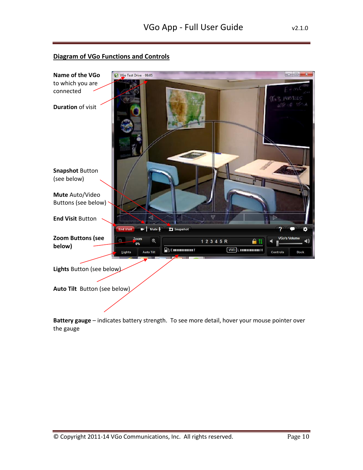# <span id="page-9-0"></span>**Diagram of VGo Functions and Controls**



**Battery gauge** – indicates battery strength. To see more detail, hover your mouse pointer over the gauge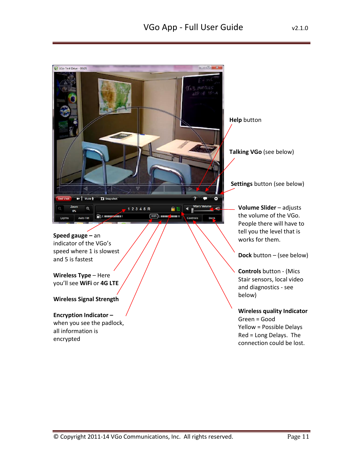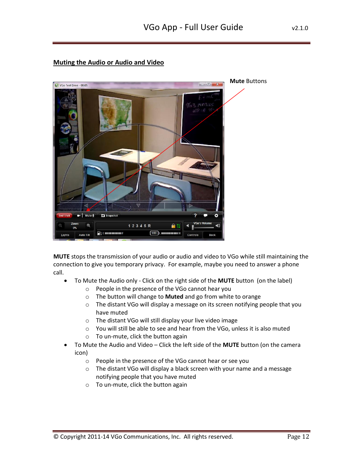# <span id="page-11-0"></span>**Muting the Audio or Audio and Video**



**MUTE** stops the transmission of your audio or audio and video to VGo while still maintaining the connection to give you temporary privacy. For example, maybe you need to answer a phone call.

- To Mute the Audio only Click on the right side of the **MUTE** button (on the label)
	- o People in the presence of the VGo cannot hear you
	- o The button will change to **Muted** and go from white to orange
	- o The distant VGo will display a message on its screen notifying people that you have muted
	- o The distant VGo will still display your live video image
	- o You will still be able to see and hear from the VGo, unless it is also muted
	- o To un-mute, click the button again
- To Mute the Audio and Video Click the left side of the **MUTE** button (on the camera icon)
	- o People in the presence of the VGo cannot hear or see you
	- o The distant VGo will display a black screen with your name and a message notifying people that you have muted
	- o To un-mute, click the button again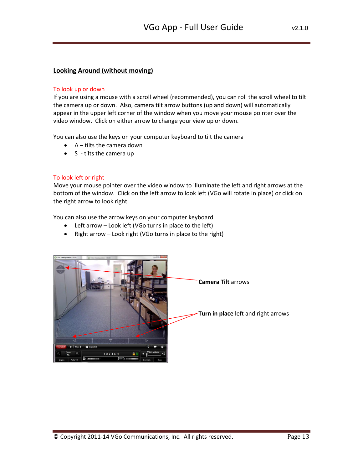# <span id="page-12-0"></span>**Looking Around (without moving)**

#### To look up or down

If you are using a mouse with a scroll wheel (recommended), you can roll the scroll wheel to tilt the camera up or down. Also, camera tilt arrow buttons (up and down) will automatically appear in the upper left corner of the window when you move your mouse pointer over the video window. Click on either arrow to change your view up or down.

You can also use the keys on your computer keyboard to tilt the camera

- $\bullet$  A tilts the camera down
- $\bullet$  S tilts the camera up

#### To look left or right

Move your mouse pointer over the video window to illuminate the left and right arrows at the bottom of the window. Click on the left arrow to look left (VGo will rotate in place) or click on the right arrow to look right.

You can also use the arrow keys on your computer keyboard

- Left arrow Look left (VGo turns in place to the left)
- Right arrow Look right (VGo turns in place to the right)

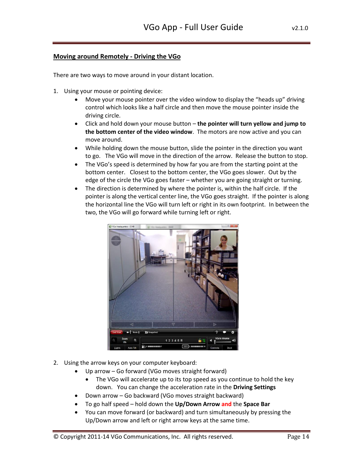# <span id="page-13-0"></span>**Moving around Remotely - Driving the VGo**

There are two ways to move around in your distant location.

- 1. Using your mouse or pointing device:
	- Move your mouse pointer over the video window to display the "heads up" driving control which looks like a half circle and then move the mouse pointer inside the driving circle.
	- Click and hold down your mouse button **the pointer will turn yellow and jump to the bottom center of the video window**. The motors are now active and you can move around.
	- While holding down the mouse button, slide the pointer in the direction you want to go. The VGo will move in the direction of the arrow. Release the button to stop.
	- The VGo's speed is determined by how far you are from the starting point at the bottom center. Closest to the bottom center, the VGo goes slower. Out by the edge of the circle the VGo goes faster – whether you are going straight or turning.
	- The direction is determined by where the pointer is, within the half circle. If the pointer is along the vertical center line, the VGo goes straight. If the pointer is along the horizontal line the VGo will turn left or right in its own footprint. In between the two, the VGo will go forward while turning left or right.



- 2. Using the arrow keys on your computer keyboard:
	- Up arrow Go forward (VGo moves straight forward)
		- The VGo will accelerate up to its top speed as you continue to hold the key down. You can change the acceleration rate in the **Driving Settings**
	- Down arrow Go backward (VGo moves straight backward)
	- To go half speed hold down the **Up/Down Arrow and** the **Space Bar**
	- You can move forward (or backward) and turn simultaneously by pressing the Up/Down arrow and left or right arrow keys at the same time.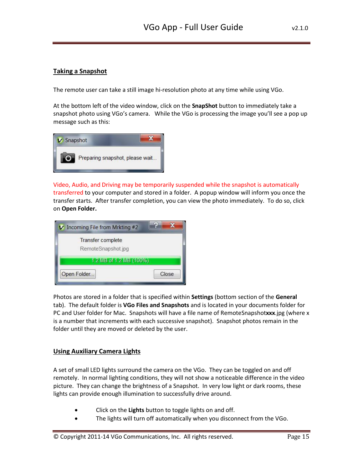# <span id="page-14-0"></span>**Taking a Snapshot**

The remote user can take a still image hi-resolution photo at any time while using VGo.

At the bottom left of the video window, click on the **SnapShot** button to immediately take a snapshot photo using VGo's camera. While the VGo is processing the image you'll see a pop up message such as this:



Video, Audio, and Driving may be temporarily suspended while the snapshot is automatically transferred to your computer and stored in a folder. A popup window will inform you once the transfer starts. After transfer completion, you can view the photo immediately. To do so, click on **Open Folder.**



Photos are stored in a folder that is specified within **Settings** (bottom section of the **General** tab). The default folder is **VGo Files and Snapshots** and is located in your documents folder for PC and User folder for Mac. Snapshots will have a file name of RemoteSnapshot**xxx**.jpg (where x is a number that increments with each successive snapshot). Snapshot photos remain in the folder until they are moved or deleted by the user.

# <span id="page-14-1"></span>**Using Auxiliary Camera Lights**

A set of small LED lights surround the camera on the VGo. They can be toggled on and off remotely. In normal lighting conditions, they will not show a noticeable difference in the video picture. They can change the brightness of a Snapshot. In very low light or dark rooms, these lights can provide enough illumination to successfully drive around.

- Click on the **Lights** button to toggle lights on and off.
- The lights will turn off automatically when you disconnect from the VGo.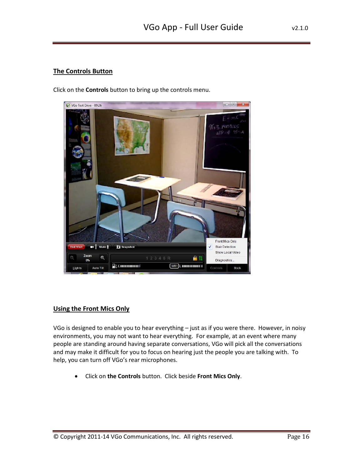# <span id="page-15-0"></span>**The Controls Button**

Click on the **Controls** button to bring up the controls menu.



# <span id="page-15-1"></span>**Using the Front Mics Only**

VGo is designed to enable you to hear everything – just as if you were there. However, in noisy environments, you may not want to hear everything. For example, at an event where many people are standing around having separate conversations, VGo will pick all the conversations and may make it difficult for you to focus on hearing just the people you are talking with. To help, you can turn off VGo's rear microphones.

Click on **the Controls** button. Click beside **Front Mics Only**.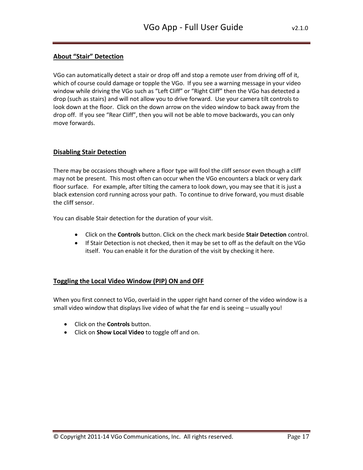# <span id="page-16-0"></span>**About "Stair" Detection**

VGo can automatically detect a stair or drop off and stop a remote user from driving off of it, which of course could damage or topple the VGo. If you see a warning message in your video window while driving the VGo such as "Left Cliff" or "Right Cliff" then the VGo has detected a drop (such as stairs) and will not allow you to drive forward. Use your camera tilt controls to look down at the floor. Click on the down arrow on the video window to back away from the drop off. If you see "Rear Cliff", then you will not be able to move backwards, you can only move forwards.

## <span id="page-16-1"></span>**Disabling Stair Detection**

There may be occasions though where a floor type will fool the cliff sensor even though a cliff may not be present. This most often can occur when the VGo encounters a black or very dark floor surface. For example, after tilting the camera to look down, you may see that it is just a black extension cord running across your path. To continue to drive forward, you must disable the cliff sensor.

You can disable Stair detection for the duration of your visit.

- Click on the **Controls** button. Click on the check mark beside **Stair Detection** control.
- If Stair Detection is not checked, then it may be set to off as the default on the VGo itself. You can enable it for the duration of the visit by checking it here.

# <span id="page-16-2"></span>**Toggling the Local Video Window (PIP) ON and OFF**

When you first connect to VGo, overlaid in the upper right hand corner of the video window is a small video window that displays live video of what the far end is seeing – usually you!

- Click on the **Controls** button.
- Click on **Show Local Video** to toggle off and on.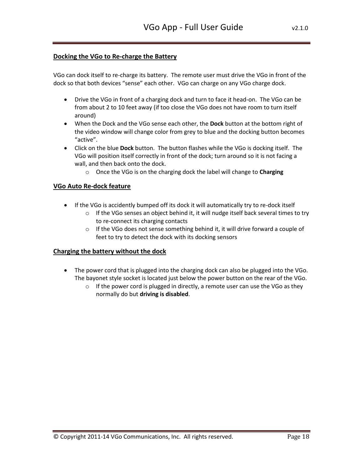## <span id="page-17-0"></span>**Docking the VGo to Re-charge the Battery**

VGo can dock itself to re-charge its battery. The remote user must drive the VGo in front of the dock so that both devices "sense" each other. VGo can charge on any VGo charge dock.

- Drive the VGo in front of a charging dock and turn to face it head-on. The VGo can be from about 2 to 10 feet away (if too close the VGo does not have room to turn itself around)
- When the Dock and the VGo sense each other, the **Dock** button at the bottom right of the video window will change color from grey to blue and the docking button becomes "active".
- Click on the blue **Dock** button. The button flashes while the VGo is docking itself. The VGo will position itself correctly in front of the dock; turn around so it is not facing a wall, and then back onto the dock.
	- o Once the VGo is on the charging dock the label will change to **Charging**

## <span id="page-17-1"></span>**VGo Auto Re-dock feature**

- If the VGo is accidently bumped off its dock it will automatically try to re-dock itself
	- $\circ$  If the VGo senses an object behind it, it will nudge itself back several times to try to re-connect its charging contacts
	- o If the VGo does not sense something behind it, it will drive forward a couple of feet to try to detect the dock with its docking sensors

#### <span id="page-17-2"></span>**Charging the battery without the dock**

- The power cord that is plugged into the charging dock can also be plugged into the VGo. The bayonet style socket is located just below the power button on the rear of the VGo.
	- $\circ$  If the power cord is plugged in directly, a remote user can use the VGo as they normally do but **driving is disabled**.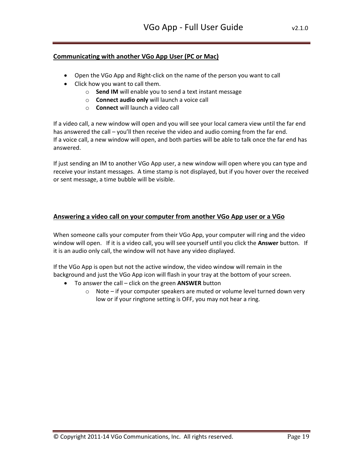# <span id="page-18-0"></span>**Communicating with another VGo App User (PC or Mac)**

- Open the VGo App and Right-click on the name of the person you want to call
- Click how you want to call them.
	- o **Send IM** will enable you to send a text instant message
	- o **Connect audio only** will launch a voice call
	- o **Connect** will launch a video call

If a video call, a new window will open and you will see your local camera view until the far end has answered the call – you'll then receive the video and audio coming from the far end. If a voice call, a new window will open, and both parties will be able to talk once the far end has answered.

If just sending an IM to another VGo App user, a new window will open where you can type and receive your instant messages. A time stamp is not displayed, but if you hover over the received or sent message, a time bubble will be visible.

#### <span id="page-18-1"></span>**Answering a video call on your computer from another VGo App user or a VGo**

When someone calls your computer from their VGo App, your computer will ring and the video window will open. If it is a video call, you will see yourself until you click the **Answer** button. If it is an audio only call, the window will not have any video displayed.

If the VGo App is open but not the active window, the video window will remain in the background and just the VGo App icon will flash in your tray at the bottom of your screen.

- To answer the call click on the green **ANSWER** button
	- o Note if your computer speakers are muted or volume level turned down very low or if your ringtone setting is OFF, you may not hear a ring.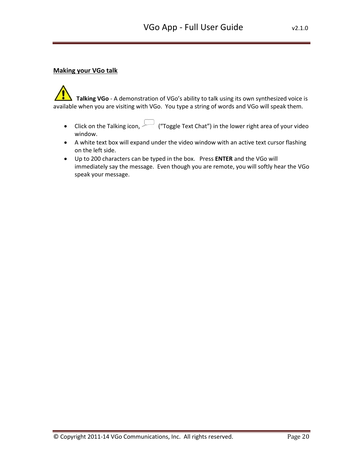# <span id="page-19-0"></span>**Making your VGo talk**

 **Talking VGo** - A demonstration of VGo's ability to talk using its own synthesized voice is available when you are visiting with VGo. You type a string of words and VGo will speak them.

- Click on the Talking icon,  $\leftarrow$  ("Toggle Text Chat") in the lower right area of your video window.
- A white text box will expand under the video window with an active text cursor flashing on the left side.
- Up to 200 characters can be typed in the box. Press **ENTER** and the VGo will immediately say the message. Even though you are remote, you will softly hear the VGo speak your message.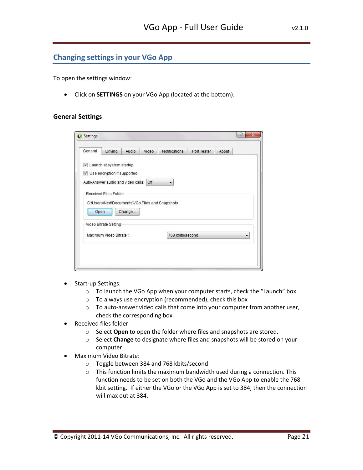# <span id="page-20-0"></span>**Changing settings in your VGo App**

To open the settings window:

Click on **SETTINGS** on your VGo App (located at the bottom).

## <span id="page-20-1"></span>**General Settings**

| General | Driving                                | Audio  | Video | Notifications                                  | Port Tester | About                    |
|---------|----------------------------------------|--------|-------|------------------------------------------------|-------------|--------------------------|
|         | Launch at system startup               |        |       |                                                |             |                          |
|         | Use encryption if supported            |        |       |                                                |             |                          |
|         | Auto-Answer audio and video calls: Off |        |       | ▼                                              |             |                          |
|         | Received Files Folder                  |        |       |                                                |             |                          |
|         |                                        |        |       | C:\Users\Ned\Documents\VGo Files and Snapshots |             |                          |
| Open    |                                        | Change |       |                                                |             |                          |
|         |                                        |        |       |                                                |             |                          |
|         | Video Bitrate Setting                  |        |       |                                                |             |                          |
|         | Maximum Video Bitrate:                 |        |       | 768 kbits/second                               |             | $\overline{\phantom{a}}$ |
|         |                                        |        |       |                                                |             |                          |
|         |                                        |        |       |                                                |             |                          |

- Start-up Settings:
	- o To launch the VGo App when your computer starts, check the "Launch" box.
	- o To always use encryption (recommended), check this box
	- o To auto-answer video calls that come into your computer from another user, check the corresponding box.
- Received files folder
	- o Select **Open** to open the folder where files and snapshots are stored.
	- o Select **Change** to designate where files and snapshots will be stored on your computer.
- Maximum Video Bitrate:
	- o Toggle between 384 and 768 kbits/second
	- o This function limits the maximum bandwidth used during a connection. This function needs to be set on both the VGo and the VGo App to enable the 768 kbit setting. If either the VGo or the VGo App is set to 384, then the connection will max out at 384.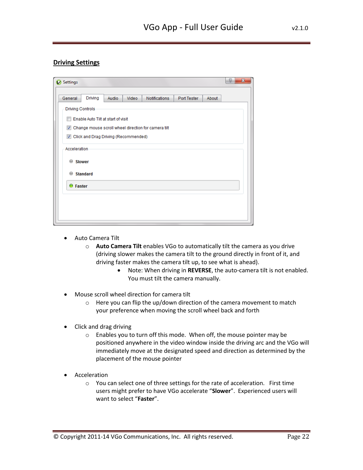# <span id="page-21-0"></span>**Driving Settings**

| Settings                                                      |       |       |                                                     |             |       | P<br>$\mathbf{x}$ |
|---------------------------------------------------------------|-------|-------|-----------------------------------------------------|-------------|-------|-------------------|
| Driving<br>General                                            | Audio | Video | Notifications                                       | Port Tester | About |                   |
| <b>Driving Controls</b><br>Enable Auto Tilt at start of visit |       |       |                                                     |             |       |                   |
| $\blacktriangledown$<br>Click and Drag Driving (Recommended)  |       |       | Change mouse scroll wheel direction for camera tilt |             |       |                   |
| Acceleration                                                  |       |       |                                                     |             |       |                   |
| <b>Slower</b><br>≘<br>≘                                       |       |       |                                                     |             |       |                   |
| <b>Standard</b><br><b>O</b> Faster                            |       |       |                                                     |             |       |                   |
|                                                               |       |       |                                                     |             |       |                   |
|                                                               |       |       |                                                     |             |       |                   |

- Auto Camera Tilt
	- o **Auto Camera Tilt** enables VGo to automatically tilt the camera as you drive (driving slower makes the camera tilt to the ground directly in front of it, and driving faster makes the camera tilt up, to see what is ahead).
		- Note: When driving in **REVERSE**, the auto-camera tilt is not enabled. You must tilt the camera manually.
- Mouse scroll wheel direction for camera tilt
	- o Here you can flip the up/down direction of the camera movement to match your preference when moving the scroll wheel back and forth
- Click and drag driving
	- o Enables you to turn off this mode. When off, the mouse pointer may be positioned anywhere in the video window inside the driving arc and the VGo will immediately move at the designated speed and direction as determined by the placement of the mouse pointer
- Acceleration
	- o You can select one of three settings for the rate of acceleration. First time users might prefer to have VGo accelerate "**Slower**". Experienced users will want to select "**Faster**".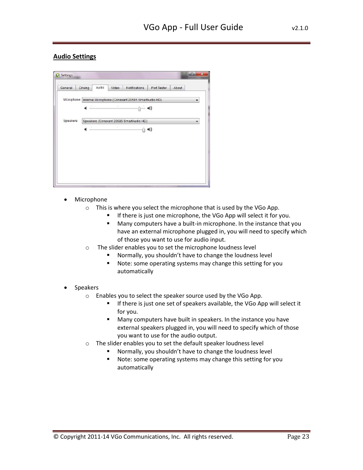# <span id="page-22-0"></span>**Audio Settings**

| General  | Driving | Audio | Video | Notifications                                                   | Port Tester | About |                      |
|----------|---------|-------|-------|-----------------------------------------------------------------|-------------|-------|----------------------|
|          |         |       |       | Microphone   Internal Microphone (Conexant 20585 SmartAudio HD) |             |       |                      |
|          |         |       |       |                                                                 |             |       |                      |
| Speakers |         |       |       | Speakers (Conexant 20585 SmartAudio HD)                         |             |       | $\blacktriangledown$ |
|          |         |       |       |                                                                 |             |       |                      |
|          |         |       |       |                                                                 |             |       |                      |
|          |         |       |       |                                                                 |             |       |                      |
|          |         |       |       |                                                                 |             |       |                      |
|          |         |       |       |                                                                 |             |       |                      |

- Microphone
	- o This is where you select the microphone that is used by the VGo App.
		- **If there is just one microphone, the VGo App will select it for you.**
		- **Many computers have a built-in microphone. In the instance that you** have an external microphone plugged in, you will need to specify which of those you want to use for audio input.
	- o The slider enables you to set the microphone loudness level
		- Normally, you shouldn't have to change the loudness level
		- **Note: some operating systems may change this setting for you** automatically
- Speakers
	- o Enables you to select the speaker source used by the VGo App.
		- **If there is just one set of speakers available, the VGo App will select it** for you.
		- Many computers have built in speakers. In the instance you have external speakers plugged in, you will need to specify which of those you want to use for the audio output.
	- o The slider enables you to set the default speaker loudness level
		- Normally, you shouldn't have to change the loudness level
		- **Note:** some operating systems may change this setting for you automatically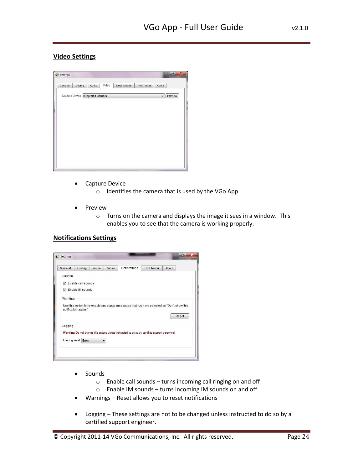# <span id="page-23-0"></span>**Video Settings**

| General | <b>Driving</b> | Audio                            | Video | Notifications | Port Tester | About                    |         |
|---------|----------------|----------------------------------|-------|---------------|-------------|--------------------------|---------|
|         |                | Capture Device Integrated Camera |       |               |             | $\overline{\phantom{a}}$ | Preview |
|         |                |                                  |       |               |             |                          |         |
|         |                |                                  |       |               |             |                          |         |
|         |                |                                  |       |               |             |                          |         |
|         |                |                                  |       |               |             |                          |         |
|         |                |                                  |       |               |             |                          |         |
|         |                |                                  |       |               |             |                          |         |
|         |                |                                  |       |               |             |                          |         |

- Capture Device
	- o Identifies the camera that is used by the VGo App
- Preview
	- o Turns on the camera and displays the image it sees in a window. This enables you to see that the camera is working properly.

# <span id="page-23-1"></span>**Notifications Settings**

|          | Driving                     | Audio | Video | Notifications                                                                                  | Port Tester | About                                                                                      |
|----------|-----------------------------|-------|-------|------------------------------------------------------------------------------------------------|-------------|--------------------------------------------------------------------------------------------|
| Sounds   |                             |       |       |                                                                                                |             |                                                                                            |
|          | <b>V</b> Enable call sounds |       |       |                                                                                                |             |                                                                                            |
|          | <b>V</b> Enable IM sounds   |       |       |                                                                                                |             |                                                                                            |
|          |                             |       |       |                                                                                                |             |                                                                                            |
| Warnings |                             |       |       |                                                                                                |             |                                                                                            |
|          |                             |       |       |                                                                                                |             | Use this option to re-enable any popup messages that you have selected as "Don't show this |
|          |                             |       |       |                                                                                                |             |                                                                                            |
|          | notification again."        |       |       |                                                                                                |             |                                                                                            |
|          |                             |       |       |                                                                                                |             |                                                                                            |
|          |                             |       |       |                                                                                                |             | Reset                                                                                      |
| Logging  |                             |       |       |                                                                                                |             |                                                                                            |
|          |                             |       |       |                                                                                                |             |                                                                                            |
|          |                             |       |       | Warning: Do not change this setting unless instructed to do so by certified support personnel. |             |                                                                                            |
|          | File log level Error        |       |       |                                                                                                |             |                                                                                            |

- Sounds
	- o Enable call sounds turns incoming call ringing on and off
	- o Enable IM sounds turns incoming IM sounds on and off
- Warnings Reset allows you to reset notifications
- Logging These settings are not to be changed unless instructed to do so by a certified support engineer.